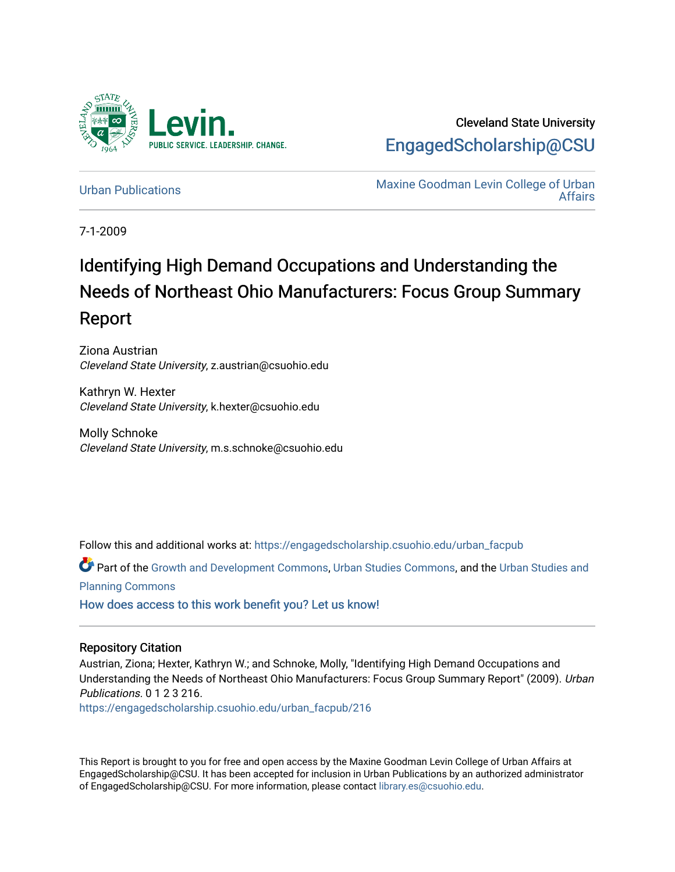

Cleveland State University [EngagedScholarship@CSU](https://engagedscholarship.csuohio.edu/) 

[Urban Publications](https://engagedscholarship.csuohio.edu/urban_facpub) Maxine Goodman Levin College of Urban [Affairs](https://engagedscholarship.csuohio.edu/urban) 

7-1-2009

# Identifying High Demand Occupations and Understanding the Needs of Northeast Ohio Manufacturers: Focus Group Summary Report

Ziona Austrian Cleveland State University, z.austrian@csuohio.edu

Kathryn W. Hexter Cleveland State University, k.hexter@csuohio.edu

Molly Schnoke Cleveland State University, m.s.schnoke@csuohio.edu

Follow this and additional works at: [https://engagedscholarship.csuohio.edu/urban\\_facpub](https://engagedscholarship.csuohio.edu/urban_facpub?utm_source=engagedscholarship.csuohio.edu%2Furban_facpub%2F216&utm_medium=PDF&utm_campaign=PDFCoverPages) 

Part of the [Growth and Development Commons,](http://network.bepress.com/hgg/discipline/346?utm_source=engagedscholarship.csuohio.edu%2Furban_facpub%2F216&utm_medium=PDF&utm_campaign=PDFCoverPages) [Urban Studies Commons](http://network.bepress.com/hgg/discipline/402?utm_source=engagedscholarship.csuohio.edu%2Furban_facpub%2F216&utm_medium=PDF&utm_campaign=PDFCoverPages), and the [Urban Studies and](http://network.bepress.com/hgg/discipline/436?utm_source=engagedscholarship.csuohio.edu%2Furban_facpub%2F216&utm_medium=PDF&utm_campaign=PDFCoverPages) [Planning Commons](http://network.bepress.com/hgg/discipline/436?utm_source=engagedscholarship.csuohio.edu%2Furban_facpub%2F216&utm_medium=PDF&utm_campaign=PDFCoverPages)

[How does access to this work benefit you? Let us know!](http://library.csuohio.edu/engaged/)

#### Repository Citation

Austrian, Ziona; Hexter, Kathryn W.; and Schnoke, Molly, "Identifying High Demand Occupations and Understanding the Needs of Northeast Ohio Manufacturers: Focus Group Summary Report" (2009). Urban Publications. 0 1 2 3 216.

[https://engagedscholarship.csuohio.edu/urban\\_facpub/216](https://engagedscholarship.csuohio.edu/urban_facpub/216?utm_source=engagedscholarship.csuohio.edu%2Furban_facpub%2F216&utm_medium=PDF&utm_campaign=PDFCoverPages)

This Report is brought to you for free and open access by the Maxine Goodman Levin College of Urban Affairs at EngagedScholarship@CSU. It has been accepted for inclusion in Urban Publications by an authorized administrator of EngagedScholarship@CSU. For more information, please contact [library.es@csuohio.edu.](mailto:library.es@csuohio.edu)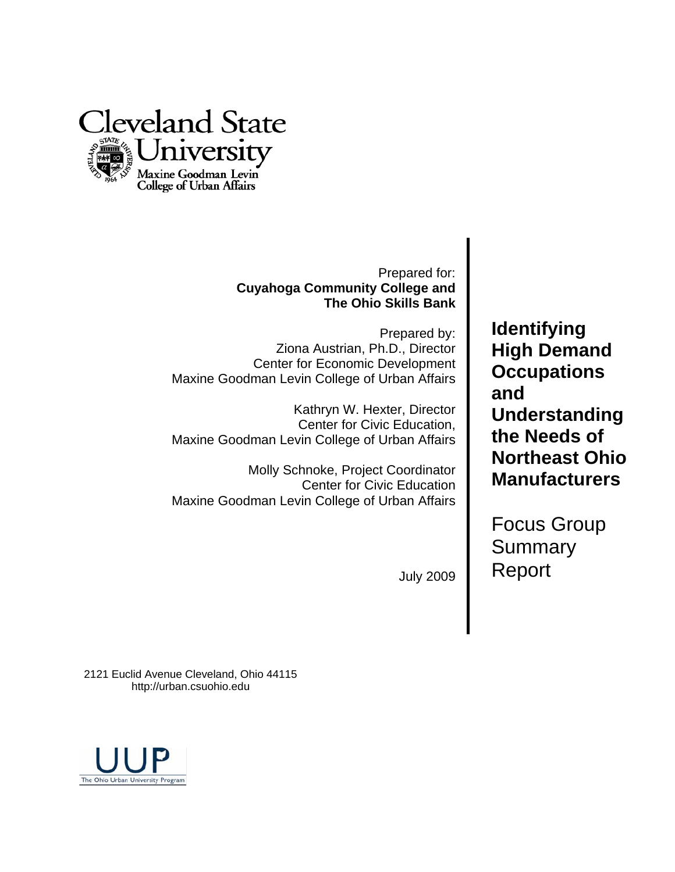

## Prepared for: **Cuyahoga Community College and The Ohio Skills Bank**

Prepared by: Ziona Austrian, Ph.D., Director Center for Economic Development Maxine Goodman Levin College of Urban Affairs

Kathryn W. Hexter, Director Center for Civic Education, Maxine Goodman Levin College of Urban Affairs

Molly Schnoke, Project Coordinator Center for Civic Education Maxine Goodman Levin College of Urban Affairs

**Identifying High Demand Occupations and Understanding the Needs of Northeast Ohio Manufacturers** 

Focus Group **Summary** Report

July 2009

2121 Euclid Avenue Cleveland, Ohio 44115 http://urban.csuohio.edu

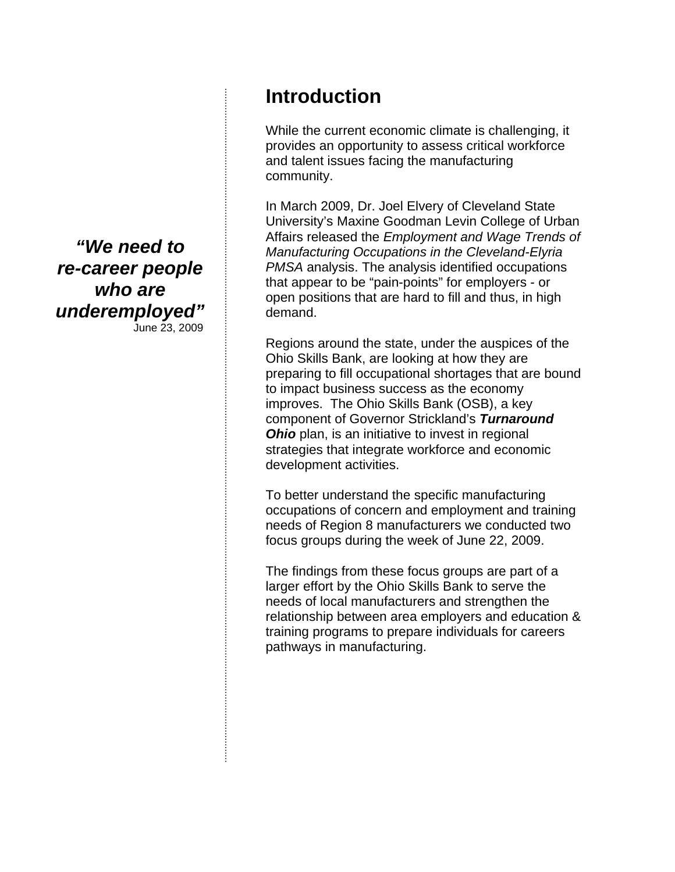*"We need to re-career people who are underemployed"* 

June 23, 2009

# **Introduction**

While the current economic climate is challenging, it provides an opportunity to assess critical workforce and talent issues facing the manufacturing community.

In March 2009, Dr. Joel Elvery of Cleveland State University's Maxine Goodman Levin College of Urban Affairs released the *Employment and Wage Trends of Manufacturing Occupations in the Cleveland-Elyria PMSA* analysis. The analysis identified occupations that appear to be "pain-points" for employers - or open positions that are hard to fill and thus, in high demand.

Regions around the state, under the auspices of the Ohio Skills Bank, are looking at how they are preparing to fill occupational shortages that are bound to impact business success as the economy improves. The Ohio Skills Bank (OSB), a key component of Governor Strickland's *Turnaround Ohio* plan, is an initiative to invest in regional strategies that integrate workforce and economic development activities.

To better understand the specific manufacturing occupations of concern and employment and training needs of Region 8 manufacturers we conducted two focus groups during the week of June 22, 2009.

The findings from these focus groups are part of a larger effort by the Ohio Skills Bank to serve the needs of local manufacturers and strengthen the relationship between area employers and education & training programs to prepare individuals for careers pathways in manufacturing.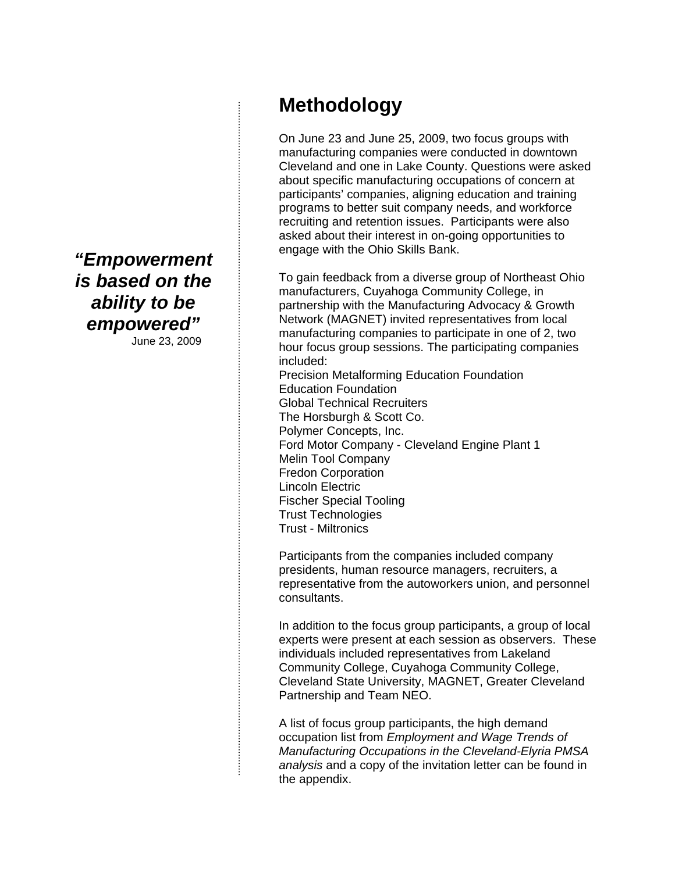*"Empowerment is based on the ability to be empowered"*  June 23, 2009

**Methodology** 

On June 23 and June 25, 2009, two focus groups with manufacturing companies were conducted in downtown Cleveland and one in Lake County. Questions were asked about specific manufacturing occupations of concern at participants' companies, aligning education and training programs to better suit company needs, and workforce recruiting and retention issues. Participants were also asked about their interest in on-going opportunities to engage with the Ohio Skills Bank.

To gain feedback from a diverse group of Northeast Ohio manufacturers, Cuyahoga Community College, in partnership with the Manufacturing Advocacy & Growth Network (MAGNET) invited representatives from local manufacturing companies to participate in one of 2, two hour focus group sessions. The participating companies included:

Precision Metalforming Education Foundation Education Foundation Global Technical Recruiters The Horsburgh & Scott Co. Polymer Concepts, Inc. Ford Motor Company - Cleveland Engine Plant 1 Melin Tool Company Fredon Corporation Lincoln Electric Fischer Special Tooling Trust Technologies Trust - Miltronics

Participants from the companies included company presidents, human resource managers, recruiters, a representative from the autoworkers union, and personnel consultants.

In addition to the focus group participants, a group of local experts were present at each session as observers. These individuals included representatives from Lakeland Community College, Cuyahoga Community College, Cleveland State University, MAGNET, Greater Cleveland Partnership and Team NEO.

A list of focus group participants, the high demand occupation list from *Employment and Wage Trends of Manufacturing Occupations in the Cleveland-Elyria PMSA analysis* and a copy of the invitation letter can be found in the appendix.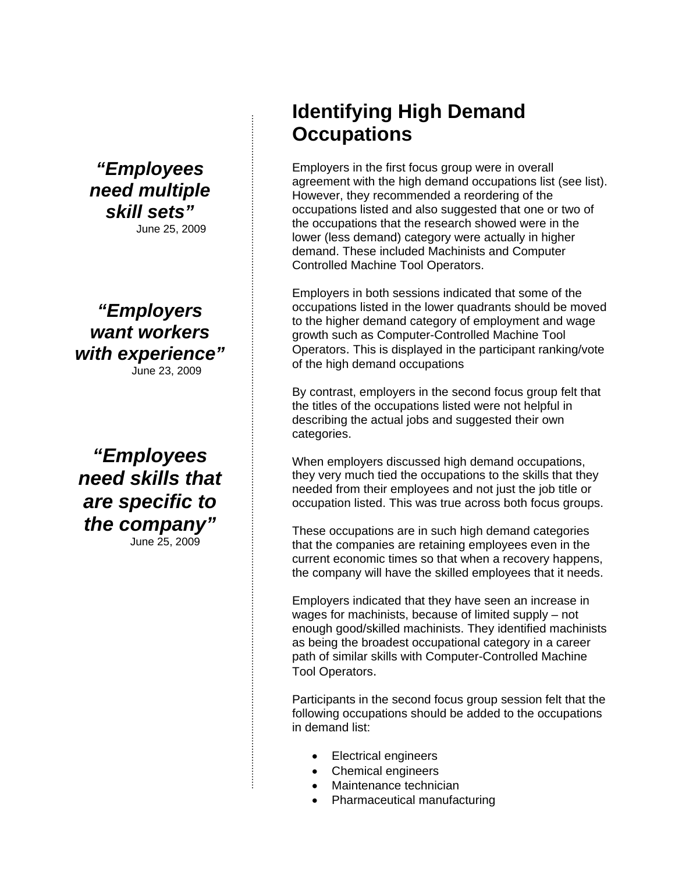*"Employees need multiple skill sets"*  June 25, 2009

# *"Employers want workers with experience"*

June 23, 2009

*"Employees need skills that are specific to the company"*  June 25, 2009

# **Identifying High Demand Occupations**

Employers in the first focus group were in overall agreement with the high demand occupations list (see list). However, they recommended a reordering of the occupations listed and also suggested that one or two of the occupations that the research showed were in the lower (less demand) category were actually in higher demand. These included Machinists and Computer Controlled Machine Tool Operators.

Employers in both sessions indicated that some of the occupations listed in the lower quadrants should be moved to the higher demand category of employment and wage growth such as Computer-Controlled Machine Tool Operators. This is displayed in the participant ranking/vote of the high demand occupations

By contrast, employers in the second focus group felt that the titles of the occupations listed were not helpful in describing the actual jobs and suggested their own categories.

When employers discussed high demand occupations, they very much tied the occupations to the skills that they needed from their employees and not just the job title or occupation listed. This was true across both focus groups.

These occupations are in such high demand categories that the companies are retaining employees even in the current economic times so that when a recovery happens, the company will have the skilled employees that it needs.

Employers indicated that they have seen an increase in wages for machinists, because of limited supply – not enough good/skilled machinists. They identified machinists as being the broadest occupational category in a career path of similar skills with Computer-Controlled Machine Tool Operators.

Participants in the second focus group session felt that the following occupations should be added to the occupations in demand list:

- Electrical engineers
- Chemical engineers
- Maintenance technician
- Pharmaceutical manufacturing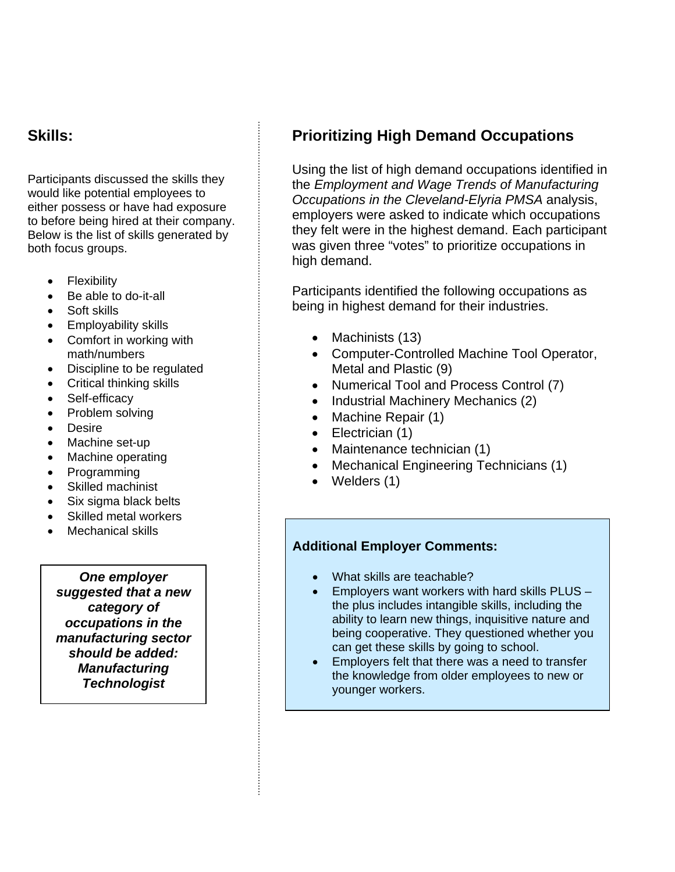# **Skills:**

Participants discussed the skills they would like potential employees to either possess or have had exposure to before being hired at their company. Below is the list of skills generated by both focus groups.

- Flexibility
- Be able to do-it-all
- Soft skills
- Employability skills
- Comfort in working with math/numbers
- Discipline to be regulated
- Critical thinking skills
- Self-efficacy
- Problem solving
- Desire
- Machine set-up
- Machine operating
- Programming
- Skilled machinist
- Six sigma black belts
- Skilled metal workers
- Mechanical skills

*One employer suggested that a new category of occupations in the manufacturing sector should be added: Manufacturing Technologist* 

# **Prioritizing High Demand Occupations**

Using the list of high demand occupations identified in the *Employment and Wage Trends of Manufacturing Occupations in the Cleveland-Elyria PMSA* analysis, employers were asked to indicate which occupations they felt were in the highest demand. Each participant was given three "votes" to prioritize occupations in high demand.

Participants identified the following occupations as being in highest demand for their industries.

- Machinists (13)
- Computer-Controlled Machine Tool Operator, Metal and Plastic (9)
- Numerical Tool and Process Control (7)
- Industrial Machinery Mechanics (2)
- Machine Repair (1)
- Electrician (1)
- Maintenance technician (1)
- Mechanical Engineering Technicians (1)
- Welders (1)

#### **Additional Employer Comments:**

- What skills are teachable?
- Employers want workers with hard skills PLUS the plus includes intangible skills, including the ability to learn new things, inquisitive nature and being cooperative. They questioned whether you can get these skills by going to school.
- Employers felt that there was a need to transfer the knowledge from older employees to new or younger workers.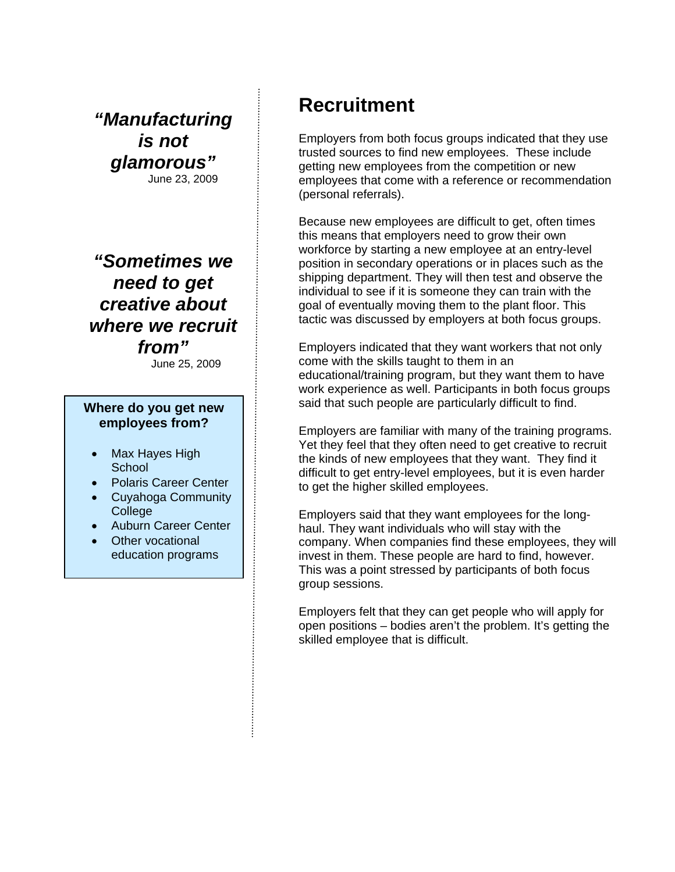*"Manufacturing is not glamorous"*  June 23, 2009

*"Sometimes we need to get creative about where we recruit from"* 

June 25, 2009

#### **Where do you get new employees from?**

- Max Hayes High **School**
- Polaris Career Center
- Cuyahoga Community **College**

- Auburn Career Center
- Other vocational education programs

# **Recruitment**

Employers from both focus groups indicated that they use trusted sources to find new employees. These include getting new employees from the competition or new employees that come with a reference or recommendation (personal referrals).

Because new employees are difficult to get, often times this means that employers need to grow their own workforce by starting a new employee at an entry-level position in secondary operations or in places such as the shipping department. They will then test and observe the individual to see if it is someone they can train with the goal of eventually moving them to the plant floor. This tactic was discussed by employers at both focus groups.

Employers indicated that they want workers that not only come with the skills taught to them in an educational/training program, but they want them to have work experience as well. Participants in both focus groups said that such people are particularly difficult to find.

Employers are familiar with many of the training programs. Yet they feel that they often need to get creative to recruit the kinds of new employees that they want. They find it difficult to get entry-level employees, but it is even harder to get the higher skilled employees.

Employers said that they want employees for the longhaul. They want individuals who will stay with the company. When companies find these employees, they will invest in them. These people are hard to find, however. This was a point stressed by participants of both focus group sessions.

Employers felt that they can get people who will apply for open positions – bodies aren't the problem. It's getting the skilled employee that is difficult.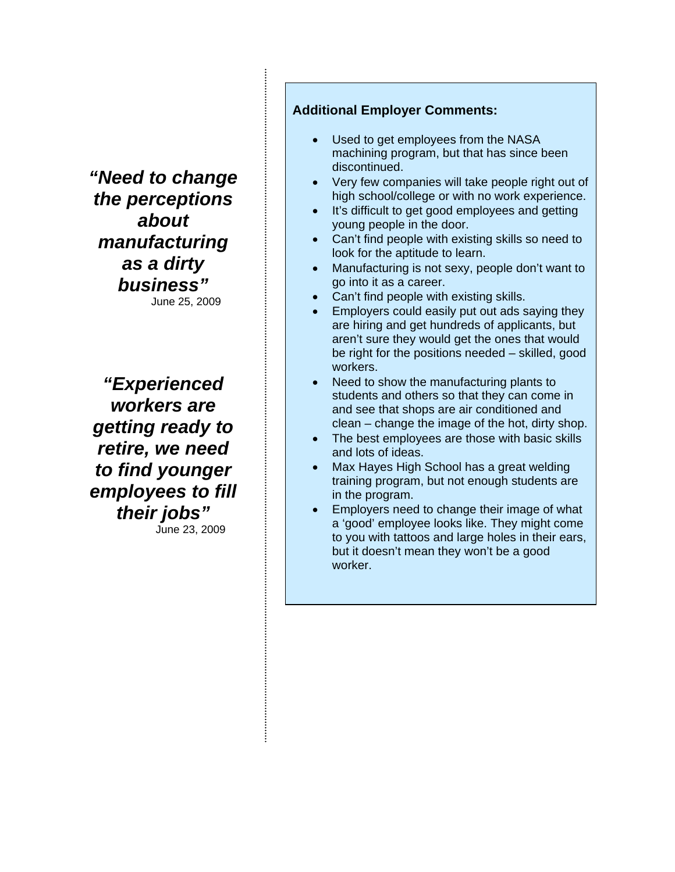*"Need to change the perceptions about manufacturing as a dirty business"*  June 25, 2009

*"Experienced workers are getting ready to retire, we need to find younger employees to fill their jobs"*  June 23, 2009

### **Additional Employer Comments:**

- Used to get employees from the NASA machining program, but that has since been discontinued.
- Very few companies will take people right out of high school/college or with no work experience.
- It's difficult to get good employees and getting young people in the door.
- Can't find people with existing skills so need to look for the aptitude to learn.
- Manufacturing is not sexy, people don't want to go into it as a career.
- Can't find people with existing skills.
- Employers could easily put out ads saying they are hiring and get hundreds of applicants, but aren't sure they would get the ones that would be right for the positions needed – skilled, good workers.
- Need to show the manufacturing plants to students and others so that they can come in and see that shops are air conditioned and clean – change the image of the hot, dirty shop.
- The best employees are those with basic skills and lots of ideas.
- Max Hayes High School has a great welding training program, but not enough students are in the program.
- Employers need to change their image of what a 'good' employee looks like. They might come to you with tattoos and large holes in their ears, but it doesn't mean they won't be a good worker.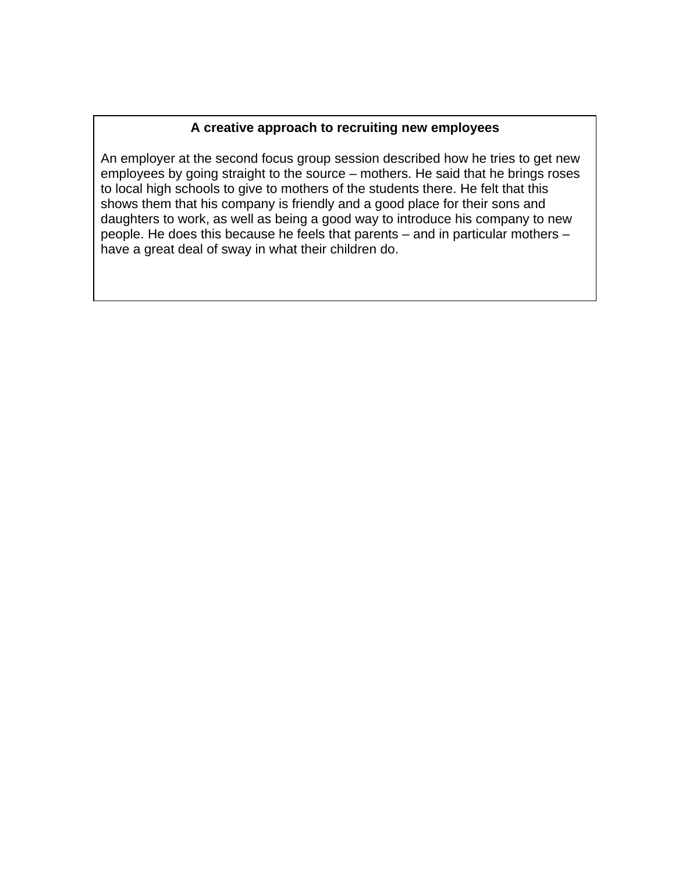### **A creative approach to recruiting new employees**

An employer at the second focus group session described how he tries to get new employees by going straight to the source – mothers. He said that he brings roses to local high schools to give to mothers of the students there. He felt that this shows them that his company is friendly and a good place for their sons and daughters to work, as well as being a good way to introduce his company to new people. He does this because he feels that parents – and in particular mothers – have a great deal of sway in what their children do.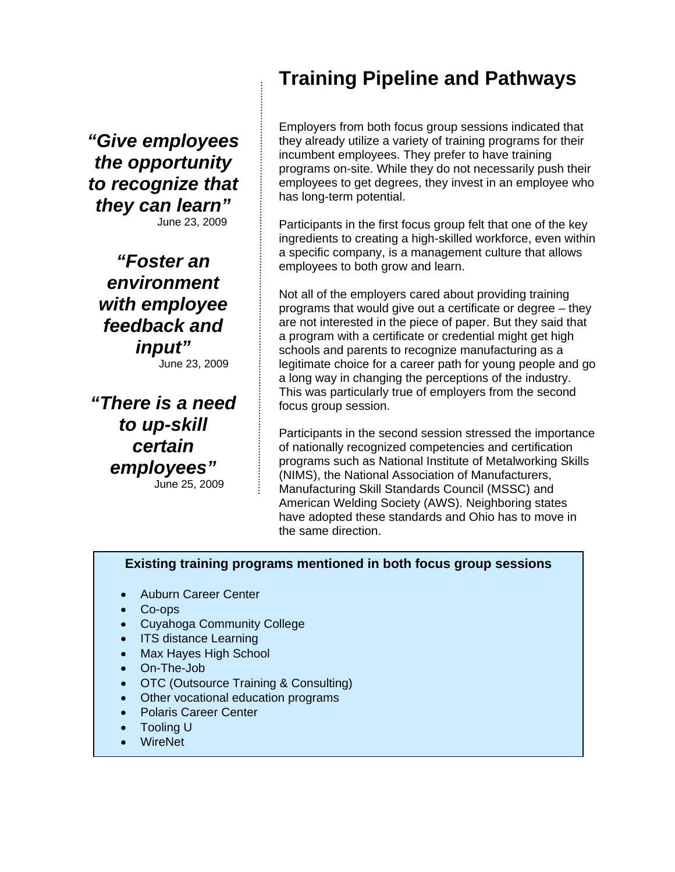*"Give employees the opportunity to recognize that they can learn"*  June 23, 2009

*"Foster an environment with employee feedback and input"* 

June 23, 2009

*"There is a need to up-skill certain employees"*  June 25, 2009

# **Training Pipeline and Pathways**

Employers from both focus group sessions indicated that they already utilize a variety of training programs for their incumbent employees. They prefer to have training programs on-site. While they do not necessarily push their employees to get degrees, they invest in an employee who has long-term potential.

Participants in the first focus group felt that one of the key ingredients to creating a high-skilled workforce, even within a specific company, is a management culture that allows employees to both grow and learn.

Not all of the employers cared about providing training programs that would give out a certificate or degree – they are not interested in the piece of paper. But they said that a program with a certificate or credential might get high schools and parents to recognize manufacturing as a legitimate choice for a career path for young people and go a long way in changing the perceptions of the industry. This was particularly true of employers from the second focus group session.

Participants in the second session stressed the importance of nationally recognized competencies and certification programs such as National Institute of Metalworking Skills (NIMS), the National Association of Manufacturers, Manufacturing Skill Standards Council (MSSC) and American Welding Society (AWS). Neighboring states have adopted these standards and Ohio has to move in the same direction.

#### **Existing training programs mentioned in both focus group sessions**

- Auburn Career Center
- Co-ops
- Cuyahoga Community College
- **ITS distance Learning**
- Max Hayes High School
- On-The-Job
- OTC (Outsource Training & Consulting)
- Other vocational education programs
- Polaris Career Center
- Tooling U
- WireNet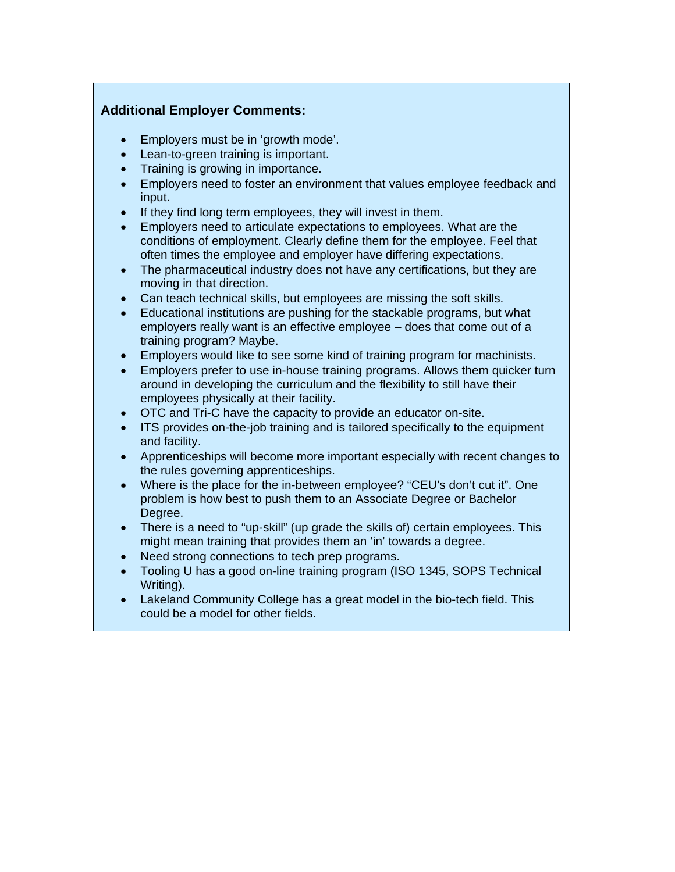### **Additional Employer Comments:**

- Employers must be in 'growth mode'.
- Lean-to-green training is important.
- Training is growing in importance.
- Employers need to foster an environment that values employee feedback and input.
- If they find long term employees, they will invest in them.
- Employers need to articulate expectations to employees. What are the conditions of employment. Clearly define them for the employee. Feel that often times the employee and employer have differing expectations.
- The pharmaceutical industry does not have any certifications, but they are moving in that direction.
- Can teach technical skills, but employees are missing the soft skills.
- Educational institutions are pushing for the stackable programs, but what employers really want is an effective employee – does that come out of a training program? Maybe.
- Employers would like to see some kind of training program for machinists.
- Employers prefer to use in-house training programs. Allows them quicker turn around in developing the curriculum and the flexibility to still have their employees physically at their facility.
- OTC and Tri-C have the capacity to provide an educator on-site.
- ITS provides on-the-job training and is tailored specifically to the equipment and facility.
- Apprenticeships will become more important especially with recent changes to the rules governing apprenticeships.
- Where is the place for the in-between employee? "CEU's don't cut it". One problem is how best to push them to an Associate Degree or Bachelor Degree.
- There is a need to "up-skill" (up grade the skills of) certain employees. This might mean training that provides them an 'in' towards a degree.
- Need strong connections to tech prep programs.
- Tooling U has a good on-line training program (ISO 1345, SOPS Technical Writing).
- Lakeland Community College has a great model in the bio-tech field. This could be a model for other fields.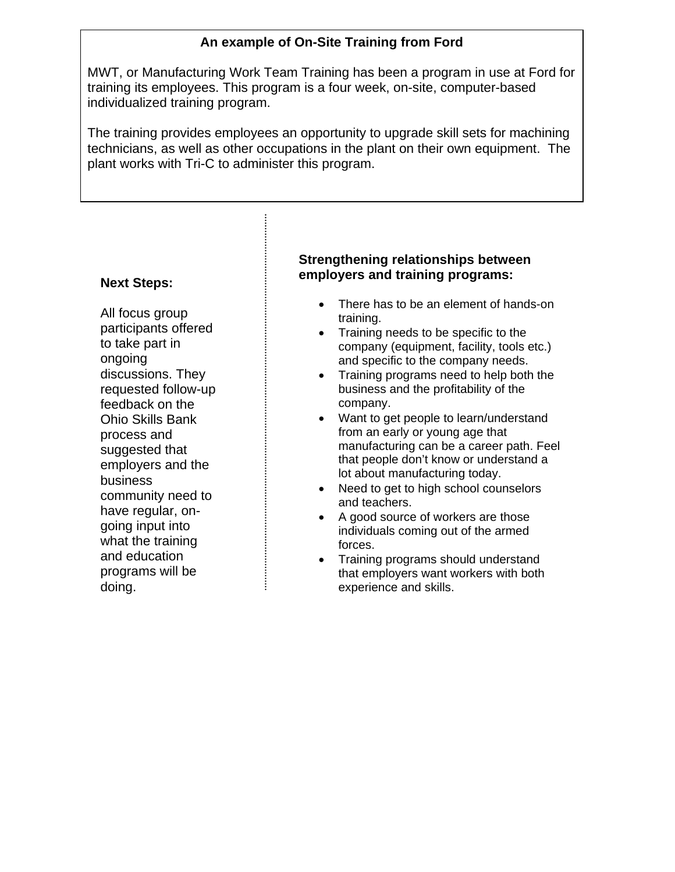## **An example of On-Site Training from Ford**

MWT, or Manufacturing Work Team Training has been a program in use at Ford for training its employees. This program is a four week, on-site, computer-based individualized training program.

The training provides employees an opportunity to upgrade skill sets for machining technicians, as well as other occupations in the plant on their own equipment. The plant works with Tri-C to administer this program.

#### **Next Steps:**

All focus group participants offered to take part in ongoing discussions. They requested follow-up feedback on the Ohio Skills Bank process and suggested that employers and the business community need to have regular, ongoing input into what the training and education programs will be doing.

### **Strengthening relationships between employers and training programs:**

- There has to be an element of hands-on training.
- Training needs to be specific to the company (equipment, facility, tools etc.) and specific to the company needs.
- Training programs need to help both the business and the profitability of the company.
- Want to get people to learn/understand from an early or young age that manufacturing can be a career path. Feel that people don't know or understand a lot about manufacturing today.
- Need to get to high school counselors and teachers.
- A good source of workers are those individuals coming out of the armed forces.
- Training programs should understand that employers want workers with both experience and skills.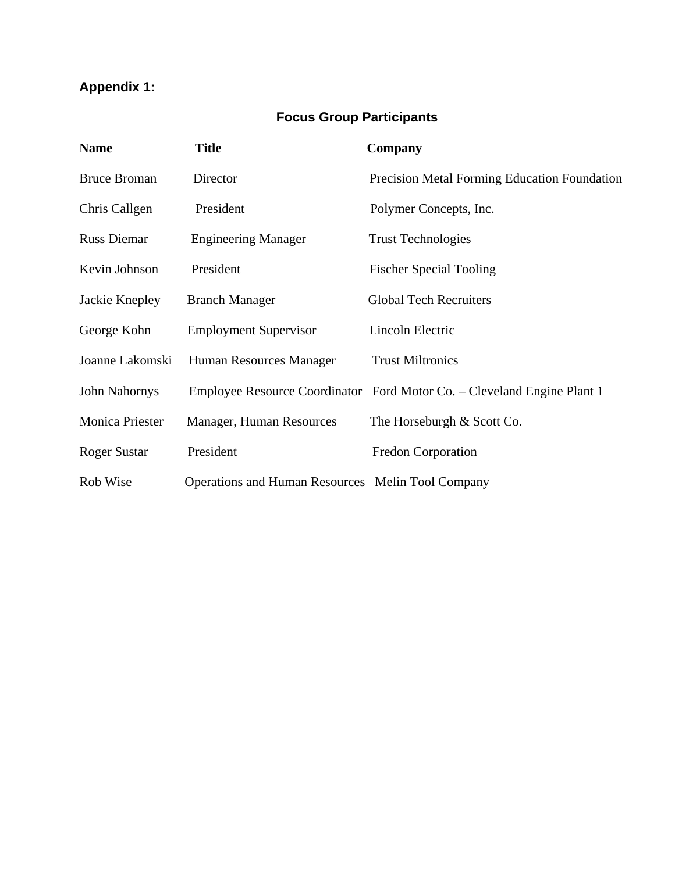# **Appendix 1:**

# **Focus Group Participants**

| <b>Name</b>            | <b>Title</b>                                             | Company                                                                 |
|------------------------|----------------------------------------------------------|-------------------------------------------------------------------------|
| <b>Bruce Broman</b>    | Director                                                 | Precision Metal Forming Education Foundation                            |
| Chris Callgen          | President                                                | Polymer Concepts, Inc.                                                  |
| <b>Russ Diemar</b>     | <b>Engineering Manager</b>                               | <b>Trust Technologies</b>                                               |
| Kevin Johnson          | President                                                | <b>Fischer Special Tooling</b>                                          |
| Jackie Knepley         | <b>Branch Manager</b>                                    | <b>Global Tech Recruiters</b>                                           |
| George Kohn            | <b>Employment Supervisor</b>                             | Lincoln Electric                                                        |
| Joanne Lakomski        | Human Resources Manager                                  | <b>Trust Miltronics</b>                                                 |
| John Nahornys          |                                                          | Employee Resource Coordinator Ford Motor Co. – Cleveland Engine Plant 1 |
| <b>Monica Priester</b> | Manager, Human Resources                                 | The Horseburgh & Scott Co.                                              |
| <b>Roger Sustar</b>    | President                                                | <b>Fredon Corporation</b>                                               |
| Rob Wise               | <b>Operations and Human Resources Melin Tool Company</b> |                                                                         |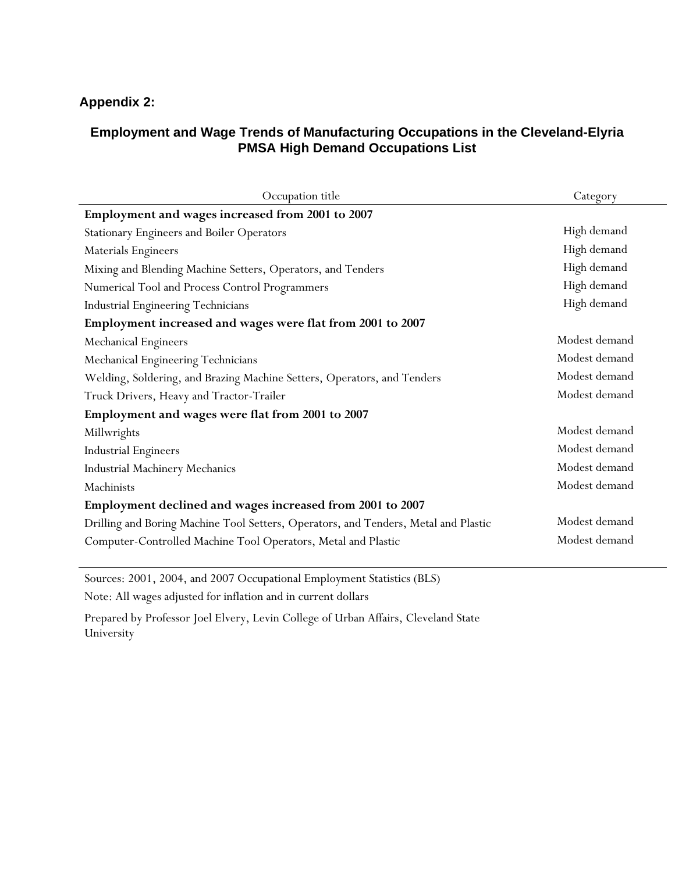## **Appendix 2:**

### **Employment and Wage Trends of Manufacturing Occupations in the Cleveland-Elyria PMSA High Demand Occupations List**

| Occupation title                                                                    | Category      |
|-------------------------------------------------------------------------------------|---------------|
| Employment and wages increased from 2001 to 2007                                    |               |
| <b>Stationary Engineers and Boiler Operators</b>                                    | High demand   |
| <b>Materials Engineers</b>                                                          | High demand   |
| Mixing and Blending Machine Setters, Operators, and Tenders                         | High demand   |
| Numerical Tool and Process Control Programmers                                      | High demand   |
| Industrial Engineering Technicians                                                  | High demand   |
| Employment increased and wages were flat from 2001 to 2007                          |               |
| Mechanical Engineers                                                                | Modest demand |
| Mechanical Engineering Technicians                                                  | Modest demand |
| Welding, Soldering, and Brazing Machine Setters, Operators, and Tenders             | Modest demand |
| Truck Drivers, Heavy and Tractor-Trailer                                            | Modest demand |
| Employment and wages were flat from 2001 to 2007                                    |               |
| Millwrights                                                                         | Modest demand |
| <b>Industrial Engineers</b>                                                         | Modest demand |
| <b>Industrial Machinery Mechanics</b>                                               | Modest demand |
| Machinists                                                                          | Modest demand |
| Employment declined and wages increased from 2001 to 2007                           |               |
| Drilling and Boring Machine Tool Setters, Operators, and Tenders, Metal and Plastic | Modest demand |
| Computer-Controlled Machine Tool Operators, Metal and Plastic                       | Modest demand |

Sources: 2001, 2004, and 2007 Occupational Employment Statistics (BLS) Note: All wages adjusted for inflation and in current dollars

Prepared by Professor Joel Elvery, Levin College of Urban Affairs, Cleveland State University